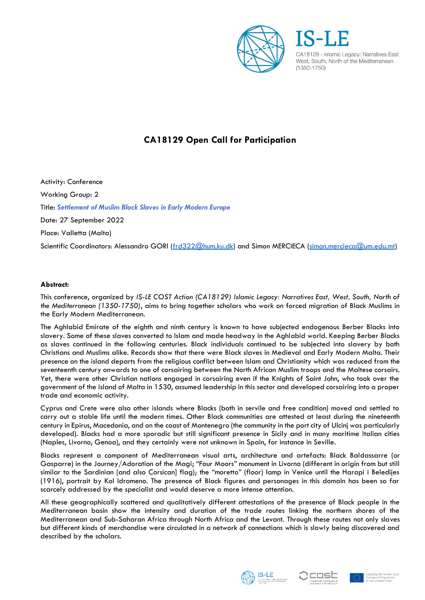

## **CA18129 Open Call for Participation**

Activity: Conference Working Group: 2 Title: *Settlement of Muslim Black Slaves in Early Modern Europe* Date: 27 September 2022 Place: Valletta (Malta) Scientific Coordinators: Alessandro GORI [\(frd322@hum.ku.dk\)](mailto:frd322@hum.ku.dk) and Simon MERCIECA [\(simon.mercieca@um.edu.mt\)](mailto:simon.mercieca@um.edu.mt)

## **Abstract:**

This conference, organized by *IS-LE COST Action (CA18129) Islamic Legacy: Narratives East, West, South, North of the Mediterranean (1350-1750)*, aims to bring together scholars who work on forced migration of Black Muslims in the Early Modern Mediterranean.

The Aghlabid Emirate of the eighth and ninth century is known to have subjected endogenous Berber Blacks into slavery. Some of these slaves converted to Islam and made headway in the Aghlabid world. Keeping Berber Blacks as slaves continued in the following centuries. Black individuals continued to be subjected into slavery by both Christians and Muslims alike. Records show that there were Black slaves in Medieval and Early Modern Malta. Their presence on the island departs from the religious conflict between Islam and Christianity which was reduced from the seventeenth century onwards to one of corsairing between the North African Muslim troops and the Maltese corsairs. Yet, there were other Christian nations engaged in corsairing even if the Knights of Saint John, who took over the government of the island of Malta in 1530, assumed leadership in this sector and developed corsairing into a proper trade and economic activity.

Cyprus and Crete were also other islands where Blacks (both in servile and free condition) moved and settled to carry out a stable life until the modern times. Other Black communities are attested at least during the nineteenth century in Epirus, Macedonia, and on the coast of Montenegro (the community in the port city of Ulcinj was particularly developed). Blacks had a more sporadic but still significant presence in Sicily and in many maritime Italian cities (Naples, Livorno, Genoa), and they certainly were not unknown in Spain, for instance in Seville.

Blacks represent a component of Mediterranean visual arts, architecture and artefacts: Black Baldassarre (or Gasparre) in the Journey/Adoration of the Magi; "Four Moors" monument in Livorno (different in origin from but still similar to the Sardinian [and also Corsican] flag); the "moretto" (floor) lamp in Venice until the Harapi i Beledijes (1916), portrait by Kol Idromeno. The presence of Black figures and personages in this domain has been so far scarcely addressed by the specialist and would deserve a more intense attention.

All these geographically scattered and qualitatively different attestations of the presence of Black people in the Mediterranean basin show the intensity and duration of the trade routes linking the northern shores of the Mediterranean and Sub-Saharan Africa through North Africa and the Levant. Through these routes not only slaves but different kinds of merchandise were circulated in a network of connections which is slowly being discovered and described by the scholars.